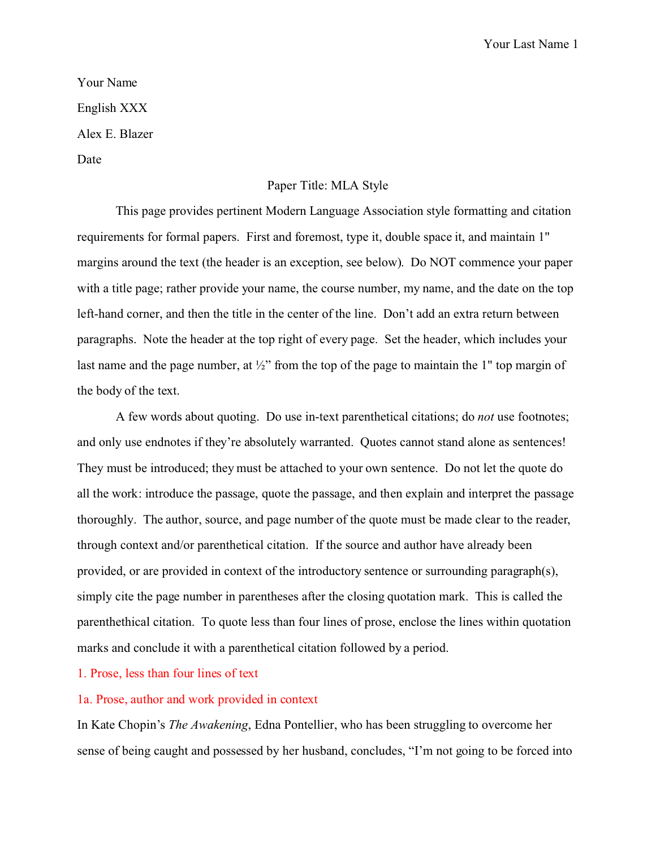Your Name English XXX Alex E. Blazer Date

## Paper Title: MLA Style

This page provides pertinent Modern Language Association style formatting and citation requirements for formal papers. First and foremost, type it, double space it, and maintain 1" margins around the text (the header is an exception, see below). Do NOT commence your paper with a title page; rather provide your name, the course number, my name, and the date on the top left-hand corner, and then the title in the center of the line. Don't add an extra return between paragraphs. Note the header at the top right of every page. Set the header, which includes your last name and the page number, at  $\frac{1}{2}$ " from the top of the page to maintain the 1" top margin of the body of the text.

A few words about quoting. Do use in-text parenthetical citations; do *not* use footnotes; and only use endnotes if they're absolutely warranted. Quotes cannot stand alone as sentences! They must be introduced; they must be attached to your own sentence. Do not let the quote do all the work: introduce the passage, quote the passage, and then explain and interpret the passage thoroughly. The author, source, and page number of the quote must be made clear to the reader, through context and/or parenthetical citation. If the source and author have already been provided, or are provided in context of the introductory sentence or surrounding paragraph(s), simply cite the page number in parentheses after the closing quotation mark. This is called the parenthethical citation. To quote less than four lines of prose, enclose the lines within quotation marks and conclude it with a parenthetical citation followed by a period.

## 1. Prose, less than four lines of text

## 1a. Prose, author and work provided in context

In Kate Chopin's *The Awakening*, Edna Pontellier, who has been struggling to overcome her sense of being caught and possessed by her husband, concludes, "I'm not going to be forced into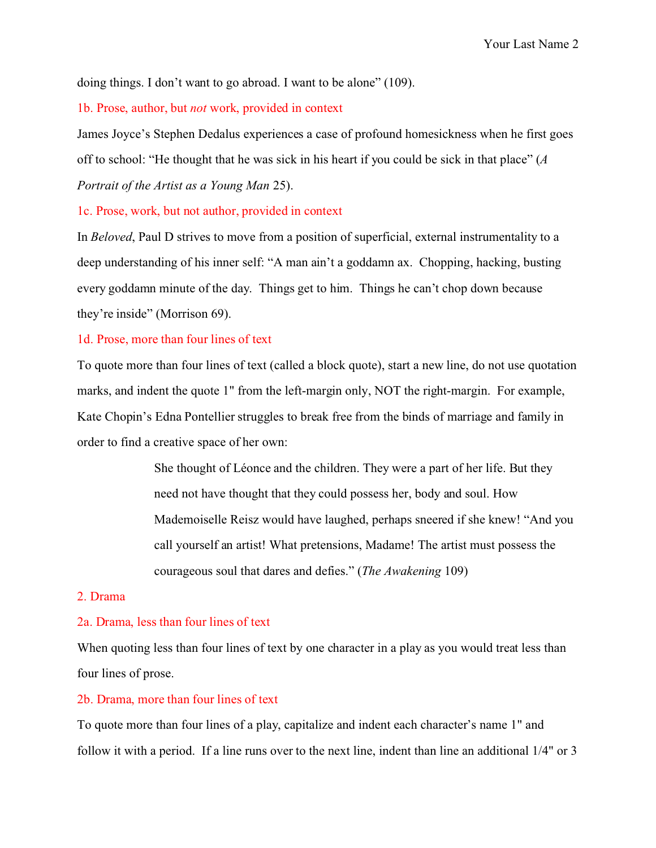doing things. I don't want to go abroad. I want to be alone" (109).

1b. Prose, author, but *not* work, provided in context

James Joyce's Stephen Dedalus experiences a case of profound homesickness when he first goes off to school: "He thought that he was sick in his heart if you could be sick in that place" (*A Portrait of the Artist as a Young Man* 25).

1c. Prose, work, but not author, provided in context

In *Beloved*, Paul D strives to move from a position of superficial, external instrumentality to a deep understanding of his inner self: "A man ain't a goddamn ax. Chopping, hacking, busting every goddamn minute of the day. Things get to him. Things he can't chop down because they're inside" (Morrison 69).

## 1d. Prose, more than four lines of text

To quote more than four lines of text (called a block quote), start a new line, do not use quotation marks, and indent the quote 1" from the left-margin only, NOT the right-margin. For example, Kate Chopin's Edna Pontellier struggles to break free from the binds of marriage and family in order to find a creative space of her own:

> She thought of Léonce and the children. They were a part of her life. But they need not have thought that they could possess her, body and soul. How Mademoiselle Reisz would have laughed, perhaps sneered if she knew! "And you call yourself an artist! What pretensions, Madame! The artist must possess the courageous soul that dares and defies." (*The Awakening* 109)

## 2. Drama

## 2a. Drama, less than four lines of text

When quoting less than four lines of text by one character in a play as you would treat less than four lines of prose.

## 2b. Drama, more than four lines of text

To quote more than four lines of a play, capitalize and indent each character's name 1" and follow it with a period. If a line runs over to the next line, indent than line an additional 1/4" or 3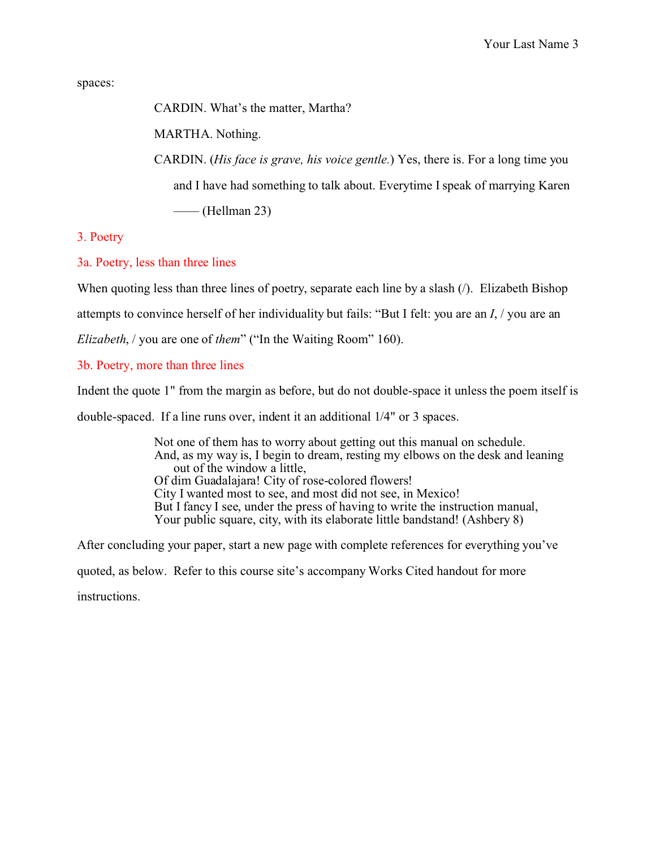spaces:

CARDIN. What's the matter, Martha?

MARTHA. Nothing.

CARDIN. (*His face is grave, his voice gentle.*) Yes, there is. For a long time you and I have had something to talk about. Everytime I speak of marrying Karen  $\longrightarrow$  (Hellman 23)

3. Poetry

3a. Poetry, less than three lines

When quoting less than three lines of poetry, separate each line by a slash (*/*). Elizabeth Bishop

attempts to convince herself of her individuality but fails: "But I felt: you are an *I*, / you are an

*Elizabeth*, / you are one of *them*" ("In the Waiting Room" 160).

# 3b. Poetry, more than three lines

Indent the quote 1" from the margin as before, but do not double-space it unless the poem itself is

double-spaced. If a line runs over, indent it an additional 1/4" or 3 spaces.

Not one of them has to worry about getting out this manual on schedule. And, as my way is, I begin to dream, resting my elbows on the desk and leaning out of the window a little, Of dim Guadalajara! City of rose-colored flowers! City I wanted most to see, and most did not see, in Mexico! But I fancy I see, under the press of having to write the instruction manual, Your public square, city, with its elaborate little bandstand! (Ashbery 8)

After concluding your paper, start a new page with complete references for everything you've quoted, as below. Refer to this course site's accompany Works Cited handout for more instructions.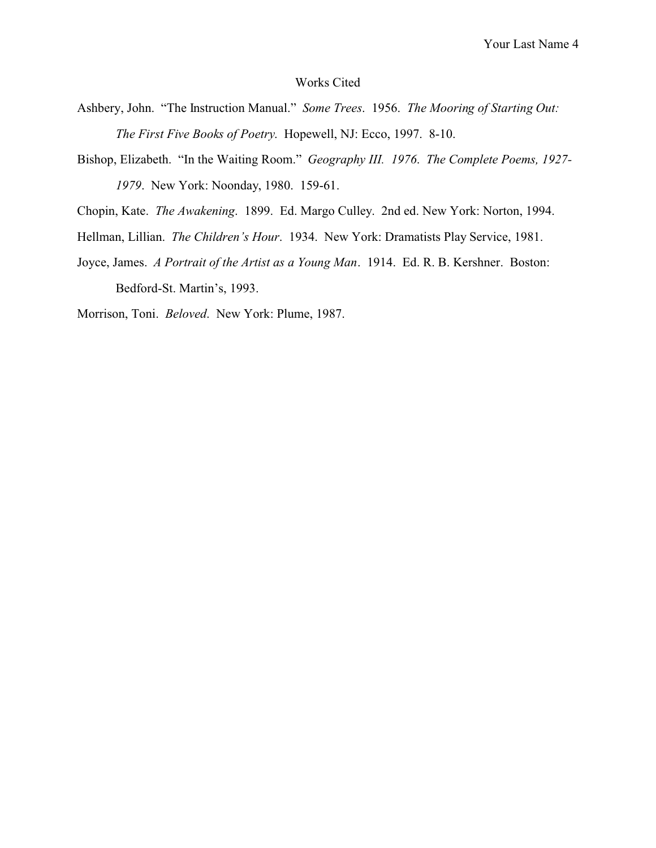## Works Cited

- Ashbery, John. "The Instruction Manual." *Some Trees*. 1956. *The Mooring of Starting Out: The First Five Books of Poetry*. Hopewell, NJ: Ecco, 1997. 8-10.
- Bishop, Elizabeth. "In the Waiting Room." *Geography III. 1976*. *The Complete Poems, 1927- 1979*. New York: Noonday, 1980. 159-61.
- Chopin, Kate. *The Awakening*. 1899. Ed. Margo Culley. 2nd ed. New York: Norton, 1994.
- Hellman, Lillian. *The Children's Hour*. 1934. New York: Dramatists Play Service, 1981.
- Joyce, James. *A Portrait of the Artist as a Young Man*. 1914. Ed. R. B. Kershner. Boston: Bedford-St. Martin's, 1993.

Morrison, Toni. *Beloved*. New York: Plume, 1987.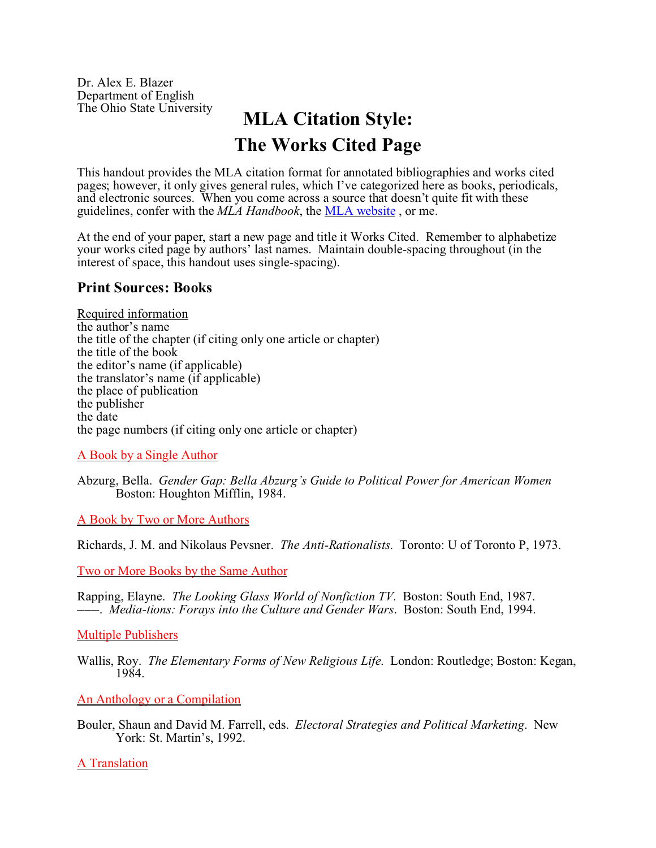Dr. Alex E. Blazer Department of English

# **MLA Citation Style: The Works Cited Page**

This handout provides the MLA citation format for annotated bibliographies and works cited pages; however, it only gives general rules, which I've categorized here as books, periodicals, and electronic sources. When you come across a source that doesn't quite fit with these guidelines, confer with the *MLA Handbook*, the MLA website , or me.

At the end of your paper, start a new page and title it Works Cited. Remember to alphabetize your works cited page by authors' last names. Maintain double-spacing throughout (in the interest of space, this handout uses single-spacing).

# **Print Sources: Books**

Required information the author's name the title of the chapter (if citing only one article or chapter) the title of the book the editor's name (if applicable) the translator's name (if applicable) the place of publication the publisher the date the page numbers (if citing only one article or chapter)

A Book by a Single Author

Abzurg, Bella. *Gender Gap: Bella Abzurg's Guide to Political Power for American Women* Boston: Houghton Mifflin, 1984.

A Book by Two or More Authors

Richards, J. M. and Nikolaus Pevsner. *The Anti-Rationalists*. Toronto: U of Toronto P, 1973.

Two or More Books by the Same Author

Rapping, Elayne. *The Looking Glass World of Nonfiction TV*. Boston: South End, 1987. ))). *Media-tions: Forays into the Culture and Gender Wars*. Boston: South End, 1994.

Multiple Publishers

Wallis, Roy. *The Elementary Forms of New Religious Life*. London: Routledge; Boston: Kegan, 1984.

An Anthology or a Compilation

Bouler, Shaun and David M. Farrell, eds. *Electoral Strategies and Political Marketing*. New York: St. Martin's, 1992.

A Translation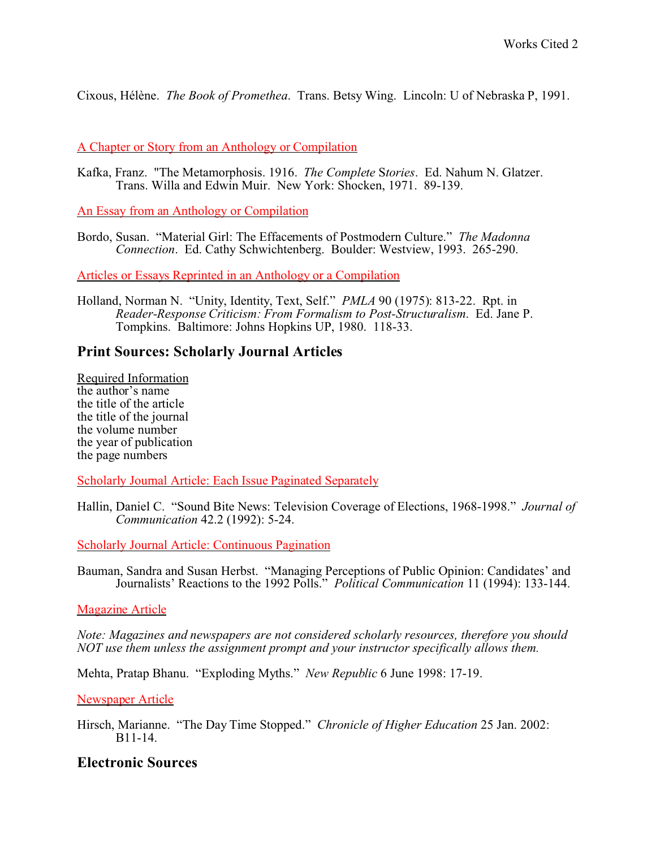Cixous, Hélène. *The Book of Promethea*. Trans. Betsy Wing. Lincoln: U of Nebraska P, 1991.

A Chapter or Story from an Anthology or Compilation

Kafka, Franz. "The Metamorphosis. 1916. *The Complete* S*tories*. Ed. Nahum N. Glatzer. Trans. Willa and Edwin Muir. New York: Shocken, 1971. 89-139.

An Essay from an Anthology or Compilation

Bordo, Susan. "Material Girl: The Effacements of Postmodern Culture." *The Madonna Connection*. Ed. Cathy Schwichtenberg. Boulder: Westview, 1993. 265-290.

Articles or Essays Reprinted in an Anthology or a Compilation

Holland, Norman N. "Unity, Identity, Text, Self." *PMLA* 90 (1975): 813-22. Rpt. in *Reader-Response Criticism: From Formalism to Post-Structuralism*. Ed. Jane P. Tompkins. Baltimore: Johns Hopkins UP, 1980. 118-33.

# **Print Sources: Scholarly Journal Articles**

Required Information the author's name the title of the article the title of the journal the volume number the year of publication the page numbers

Scholarly Journal Article: Each Issue Paginated Separately

Hallin, Daniel C. "Sound Bite News: Television Coverage of Elections, 1968-1998." *Journal of Communication* 42.2 (1992): 5-24.

Scholarly Journal Article: Continuous Pagination

Bauman, Sandra and Susan Herbst. "Managing Perceptions of Public Opinion: Candidates' and Journalists' Reactions to the 1992 Polls." *Political Communication* 11 (1994): 133-144.

## Magazine Article

*Note: Magazines and newspapers are not considered scholarly resources, therefore you should NOT use them unless the assignment prompt and your instructor specifically allows them.*

Mehta, Pratap Bhanu. "Exploding Myths." *New Republic* 6 June 1998: 17-19.

Newspaper Article

Hirsch, Marianne. "The Day Time Stopped." *Chronicle of Higher Education* 25 Jan. 2002: B11-14.

# **Electronic Sources**